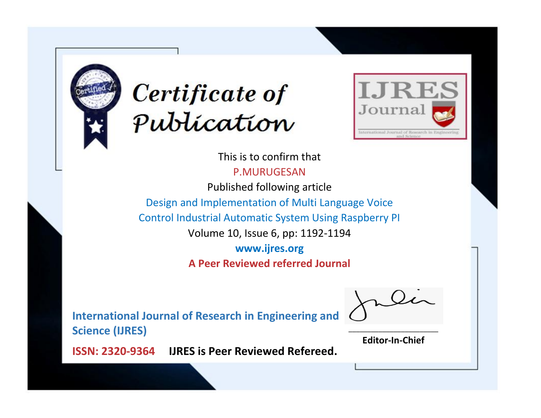



This is to confirm that P.MURUGESAN

Published following article

Design and Implementation of Multi Language Voice

Control Industrial Automatic System Using Raspberry PI

Volume 10, Issue 6, pp: 1192-1194

**www.ijres.org**

**A Peer Reviewed referred Journal**

**International Journal of Research in Engineering and Science (IJRES)**

\_\_\_\_\_\_\_\_\_\_\_\_\_\_\_\_\_\_\_\_\_\_\_\_ **Editor-In-Chief**

**Journal.**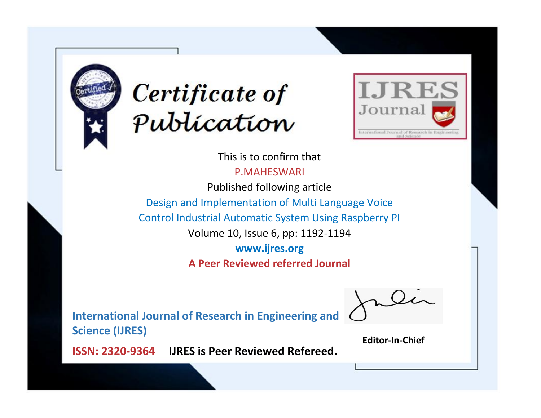



This is to confirm that

P.MAHESWARI

Published following article

Design and Implementation of Multi Language Voice

Control Industrial Automatic System Using Raspberry PI

Volume 10, Issue 6, pp: 1192-1194

**www.ijres.org**

**A Peer Reviewed referred Journal**

**International Journal of Research in Engineering and Science (IJRES)**

\_\_\_\_\_\_\_\_\_\_\_\_\_\_\_\_\_\_\_\_\_\_\_\_ **Editor-In-Chief**

**Journal.**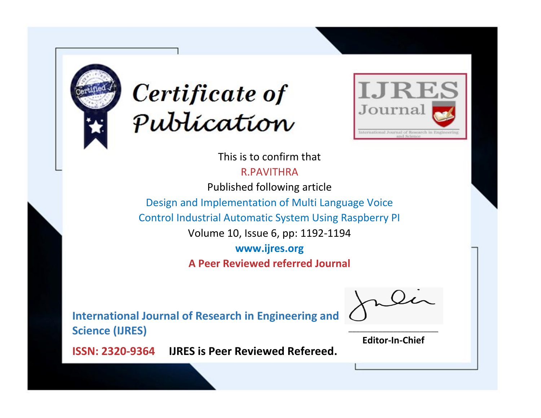



This is to confirm that R.PAVITHRA

Published following article

Design and Implementation of Multi Language Voice

Control Industrial Automatic System Using Raspberry PI

Volume 10, Issue 6, pp: 1192-1194

**www.ijres.org**

**A Peer Reviewed referred Journal**

**International Journal of Research in Engineering and Science (IJRES)**

\_\_\_\_\_\_\_\_\_\_\_\_\_\_\_\_\_\_\_\_\_\_\_\_ **Editor-In-Chief**

**Journal.**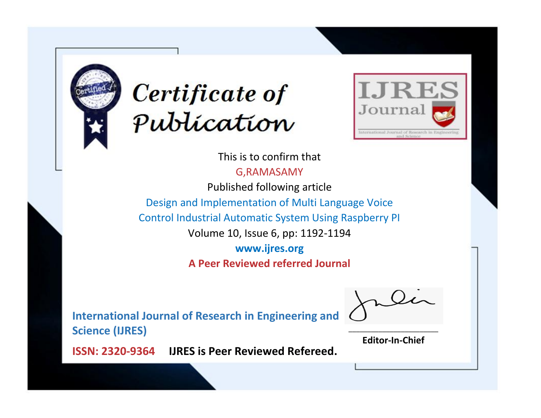



This is to confirm that

G,RAMASAMY

Published following article

Design and Implementation of Multi Language Voice

Control Industrial Automatic System Using Raspberry PI

Volume 10, Issue 6, pp: 1192-1194

**www.ijres.org**

**A Peer Reviewed referred Journal**

**International Journal of Research in Engineering and Science (IJRES)**

\_\_\_\_\_\_\_\_\_\_\_\_\_\_\_\_\_\_\_\_\_\_\_\_ **Editor-In-Chief**

**Journal.**